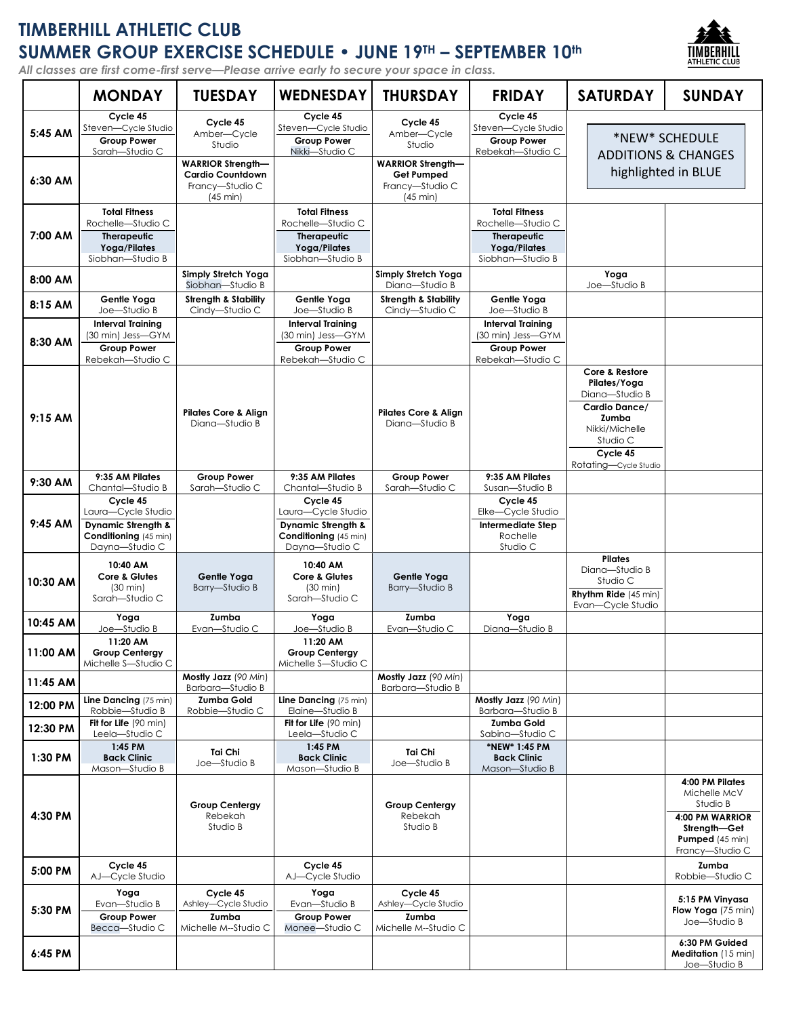# **TIMBERHILL ATHLETIC CLUB SUMMER GROUP EXERCISE SCHEDULE • JUNE 19TH – SEPTEMBER 10th**

*All classes are first come-first serve—Please arrive early to secure your space in class.*



|           | <b>MONDAY</b>                                                                                              | <b>TUESDAY</b>                                                   | <b>WEDNESDAY</b>                                                                                    | <b>THURSDAY</b>                                                  | <b>FRIDAY</b>                                                                                       | <b>SATURDAY</b>                                                                                                                               | <b>SUNDAY</b>                                                                                                               |
|-----------|------------------------------------------------------------------------------------------------------------|------------------------------------------------------------------|-----------------------------------------------------------------------------------------------------|------------------------------------------------------------------|-----------------------------------------------------------------------------------------------------|-----------------------------------------------------------------------------------------------------------------------------------------------|-----------------------------------------------------------------------------------------------------------------------------|
| 5:45 AM   | Cycle 45<br>Steven-Cycle Studio<br><b>Group Power</b><br>Sarah-Studio C                                    | Cycle 45<br>Amber-Cycle<br>Studio<br><b>WARRIOR Strength-</b>    | Cycle 45<br>Steven-Cycle Studio<br><b>Group Power</b><br>Nikki-Studio C                             | Cycle 45<br>Amber-Cycle<br>Studio<br><b>WARRIOR Strength-</b>    | Cycle 45<br>Steven-Cycle Studio<br><b>Group Power</b><br>Rebekah-Studio C                           |                                                                                                                                               | *NEW* SCHEDULE<br><b>ADDITIONS &amp; CHANGES</b>                                                                            |
| 6:30 AM   |                                                                                                            | <b>Cardio Countdown</b><br>Francy-Studio C<br>(45 min)           |                                                                                                     | Get Pumped<br>Francy-Studio C<br>$(45 \text{ min})$              |                                                                                                     |                                                                                                                                               | highlighted in BLUE                                                                                                         |
| 7:00 AM   | <b>Total Fitness</b><br>Rochelle-Studio C<br><b>Therapeutic</b><br>Yoga/Pilates<br>Siobhan-Studio B        |                                                                  | <b>Total Fitness</b><br>Rochelle-Studio C<br><b>Therapeutic</b><br>Yoga/Pilates<br>Siobhan-Studio B |                                                                  | <b>Total Fitness</b><br>Rochelle-Studio C<br><b>Therapeutic</b><br>Yoga/Pilates<br>Siobhan-Studio B |                                                                                                                                               |                                                                                                                             |
| 8:00 AM   |                                                                                                            | Simply Stretch Yoga<br>Siobhan-Studio B                          |                                                                                                     | Simply Stretch Yoga<br>Diana-Studio B                            |                                                                                                     | Yoga<br>Joe-Studio B                                                                                                                          |                                                                                                                             |
| 8:15 AM   | Gentle Yoga<br>Joe-Studio B                                                                                | <b>Strength &amp; Stability</b><br>Cindy-Studio C                | Gentle Yoga<br>Joe-Studio B                                                                         | <b>Strength &amp; Stability</b><br>Cindy-Studio C                | Gentle Yoga<br>Joe-Studio B                                                                         |                                                                                                                                               |                                                                                                                             |
| 8:30 AM   | <b>Interval Training</b><br>(30 min) Jess—GYM<br><b>Group Power</b><br>Rebekah-Studio C                    |                                                                  | <b>Interval Training</b><br>(30 min) Jess-GYM<br><b>Group Power</b><br>Rebekah-Studio C             |                                                                  | <b>Interval Training</b><br>(30 min) Jess-GYM<br><b>Group Power</b><br>Rebekah-Studio C             |                                                                                                                                               |                                                                                                                             |
| $9:15$ AM |                                                                                                            | <b>Pilates Core &amp; Align</b><br>Diana-Studio B                |                                                                                                     | <b>Pilates Core &amp; Align</b><br>Diana-Studio B                |                                                                                                     | Core & Restore<br>Pilates/Yoga<br>Diana-Studio B<br>Cardio Dance/<br>Zumba<br>Nikki/Michelle<br>Studio C<br>Cycle 45<br>Rotating-Cycle Studio |                                                                                                                             |
| 9:30 AM   | 9:35 AM Pilates<br>Chantal-Studio B                                                                        | <b>Group Power</b><br>Sarah-Studio C                             | 9:35 AM Pilates<br>Chantal-Studio B                                                                 | <b>Group Power</b><br>Sarah-Studio C                             | 9:35 AM Pilates<br>Susan-Studio B                                                                   |                                                                                                                                               |                                                                                                                             |
| $9:45$ AM | Cycle 45<br>Laura-Cycle Studio<br><b>Dynamic Strength &amp;</b><br>Conditioning (45 min)<br>Dayna-Studio C |                                                                  | Cycle 45<br>Laura-Cycle Studio<br>Dynamic Strength &<br>Conditioning (45 min)<br>Dayna-Studio C     |                                                                  | Cycle 45<br>Elke-Cycle Studio<br><b>Intermediate Step</b><br>Rochelle<br>Studio C                   |                                                                                                                                               |                                                                                                                             |
| 10:30 AM  | 10:40 AM<br>Core & Glutes<br>$(30 \text{ min})$<br>Sarah-Studio C                                          | Gentle Yoga<br><b>Barry-Studio B</b>                             | 10:40 AM<br>Core & Glutes<br>$(30 \text{ min})$<br>Sarah-Studio C                                   | Gentle Yoga<br>Barry-Studio B                                    |                                                                                                     | <b>Pilates</b><br>Diana-Studio B<br>Studio C<br><b>Rhythm Ride</b> (45 min)<br>Evan-Cycle Studio                                              |                                                                                                                             |
| 10:45 AM  | Yoga<br>Joe-Studio B                                                                                       | Zumba<br>Evan-Studio C                                           | Yoga<br>Joe-Studio B                                                                                | Zumba<br>Evan-Studio C                                           | Yoga<br>Diana-Studio B                                                                              |                                                                                                                                               |                                                                                                                             |
| 11:00 AM  | 11:20 AM<br><b>Group Centergy</b><br>Michelle S-Studio C                                                   |                                                                  | 11:20 AM<br><b>Group Centergy</b><br>Michelle S-Studio C                                            |                                                                  |                                                                                                     |                                                                                                                                               |                                                                                                                             |
| 11:45 AM  |                                                                                                            | Mostly Jazz (90 Min)<br>Barbara-Studio B                         |                                                                                                     | Mostly Jazz (90 Min)<br>Barbara-Studio B                         |                                                                                                     |                                                                                                                                               |                                                                                                                             |
| 12:00 PM  | Line Dancing (75 min)<br>Robbie-Studio B                                                                   | <b>Zumba Gold</b><br>Robbie-Studio C                             | Line Dancing (75 min)<br>Elaine-Studio B                                                            |                                                                  | Mostly Jazz (90 Min)<br>Barbara-Studio B                                                            |                                                                                                                                               |                                                                                                                             |
| 12:30 PM  | Fit for Life (90 min)<br>Leela-Studio C                                                                    |                                                                  | Fit for Life (90 min)<br>Leela-Studio C                                                             |                                                                  | Zumba Gold<br>Sabina-Studio C                                                                       |                                                                                                                                               |                                                                                                                             |
| 1:30 PM   | 1:45 PM<br><b>Back Clinic</b><br>Mason-Studio B                                                            | Tai Chi<br>Joe-Studio B                                          | $1:45$ PM<br><b>Back Clinic</b><br>Mason-Studio B                                                   | Tai Chi<br>Joe-Studio B                                          | *NEW* 1:45 PM<br><b>Back Clinic</b><br>Mason-Studio B                                               |                                                                                                                                               |                                                                                                                             |
| 4:30 PM   |                                                                                                            | <b>Group Centergy</b><br>Rebekah<br>Studio B                     |                                                                                                     | <b>Group Centergy</b><br>Rebekah<br>Studio B                     |                                                                                                     |                                                                                                                                               | 4:00 PM Pilates<br>Michelle McV<br>Studio B<br>4:00 PM WARRIOR<br>Strength-Get<br><b>Pumped</b> (45 min)<br>Francy-Studio C |
| 5:00 PM   | Cycle 45<br>AJ-Cycle Studio                                                                                |                                                                  | Cycle 45<br>AJ-Cycle Studio                                                                         |                                                                  |                                                                                                     |                                                                                                                                               | Zumba<br>Robbie-Studio C                                                                                                    |
| 5:30 PM   | Yoga<br>Evan-Studio B<br><b>Group Power</b><br>Becca-Studio C                                              | Cycle 45<br>Ashley-Cycle Studio<br>Zumba<br>Michelle M--Studio C | Yoga<br>Evan-Studio B<br><b>Group Power</b><br>Monee-Studio C                                       | Cycle 45<br>Ashley-Cycle Studio<br>Zumba<br>Michelle M--Studio C |                                                                                                     |                                                                                                                                               | 5:15 PM Vinyasa<br>Flow Yoga $(75 \text{ min})$<br>Joe-Studio B                                                             |
| 6:45 PM   |                                                                                                            |                                                                  |                                                                                                     |                                                                  |                                                                                                     |                                                                                                                                               | 6:30 PM Guided<br><b>Meditation</b> (15 min)<br>Joe-Studio B                                                                |